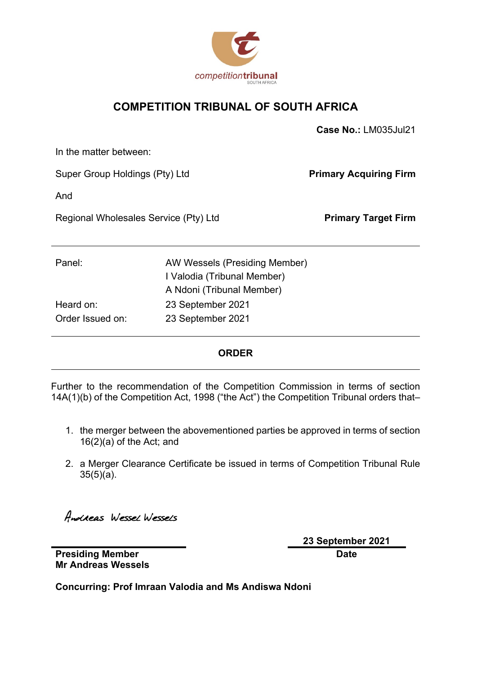

#### **COMPETITION TRIBUNAL OF SOUTH AFRICA**

|                                       |                               | Case No.: LM035Jul21          |
|---------------------------------------|-------------------------------|-------------------------------|
| In the matter between:                |                               |                               |
| Super Group Holdings (Pty) Ltd        |                               | <b>Primary Acquiring Firm</b> |
| And                                   |                               |                               |
| Regional Wholesales Service (Pty) Ltd |                               | <b>Primary Target Firm</b>    |
|                                       |                               |                               |
| Panel:                                | AW Wessels (Presiding Member) |                               |
|                                       | I Valodia (Tribunal Member)   |                               |
|                                       | A Ndoni (Tribunal Member)     |                               |
| Heard on:                             | 23 September 2021             |                               |
| Order Issued on:                      | 23 September 2021             |                               |

#### **ORDER**

Further to the recommendation of the Competition Commission in terms of section 14A(1)(b) of the Competition Act, 1998 ("the Act") the Competition Tribunal orders that–

- 1. the merger between the abovementioned parties be approved in terms of section 16(2)(a) of the Act; and
- 2. a Merger Clearance Certificate be issued in terms of Competition Tribunal Rule 35(5)(a).

Andreas Wessel Wessels

**23 September 2021 Date**

**Presiding Member Mr Andreas Wessels**

**Concurring: Prof Imraan Valodia and Ms Andiswa Ndoni**